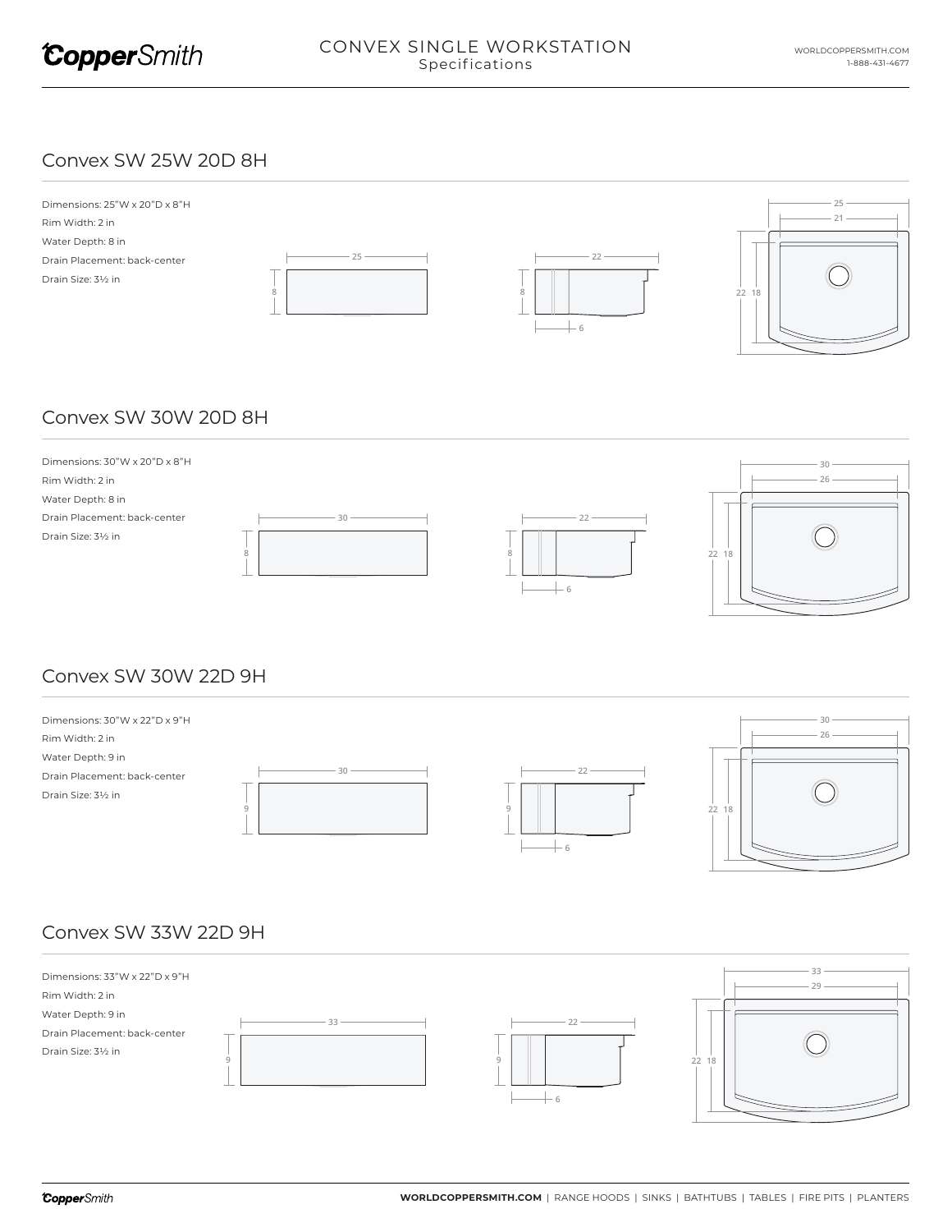

#### Convex SW 25W 20D 8H



# Convex SW 30W 20D 8H



# Convex SW 30W 22D 9H



# Convex SW 33W 22D 9H